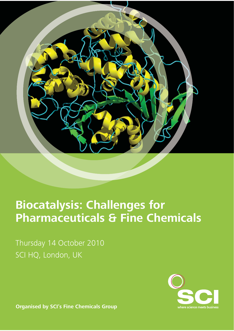

# **Biocatalysis: Challenges for Pharmaceuticals & Fine Chemicals**

Thursday 14 October 2010 SCI HQ, London, UK

where science meets business

**Organised by SCI's Fine Chemicals Group**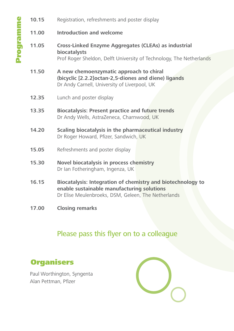| 10.15 | Registration, refreshments and poster display                                                                                                                           |  |
|-------|-------------------------------------------------------------------------------------------------------------------------------------------------------------------------|--|
| 11.00 | <b>Introduction and welcome</b>                                                                                                                                         |  |
| 11.05 | <b>Cross-Linked Enzyme Aggregates (CLEAs) as industrial</b><br><b>biocatalysts</b><br>Prof Roger Sheldon, Delft University of Technology, The Netherlands               |  |
| 11.50 | A new chemoenzymatic approach to chiral<br>(bicyclic [2.2.2] octan-2,5-diones and diene) ligands<br>Dr Andy Carnell, University of Liverpool, UK                        |  |
| 12.35 | Lunch and poster display                                                                                                                                                |  |
| 13.35 | <b>Biocatalysis: Present practice and future trends</b><br>Dr Andy Wells, AstraZeneca, Charnwood, UK                                                                    |  |
| 14.20 | Scaling biocatalysis in the pharmaceutical industry<br>Dr Roger Howard, Pfizer, Sandwich, UK                                                                            |  |
| 15.05 | Refreshments and poster display                                                                                                                                         |  |
| 15.30 | <b>Novel biocatalysis in process chemistry</b><br>Dr Ian Fotheringham, Ingenza, UK                                                                                      |  |
| 16.15 | <b>Biocatalysis: Integration of chemistry and biotechnology to</b><br>enable sustainable manufacturing solutions<br>Dr Elise Meulenbroeks, DSM, Geleen, The Netherlands |  |

**17.00 Closing remarks**

## Please pass this flyer on to a colleague

## **Organisers**

Programme

Programme

Paul Worthington, Syngenta Alan Pettman, Pfizer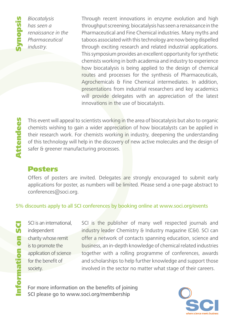

*Biocatalysis has seen a renaissance in the Pharmaceutical industry.*

Through recent innovations in enzyme evolution and high throughput screening; biocatalysis has seen a renaissance in the Pharmaceutical and Fine Chemical industries. Many myths and taboos associated with this technology are now being dispelled through exciting research and related industrial applications. This symposium provides an excellent opportunity for synthetic chemists working in both academia and industry to experience how biocatalysis is being applied to the design of chemical routes and processes for the synthesis of Pharmaceuticals, Agrochemicals & Fine Chemical intermediates. In addition, presentations from industrial researchers and key academics will provide delegates with an appreciation of the latest innovations in the use of biocatalysts.

This event will appeal to scientists working in the area of biocatalysis but also to organic chemists wishing to gain a wider appreciation of how biocatalysts can be applied in their research work. For chemists working in industry, deepening the understanding of this technology will help in the discovery of new active molecules and the design of safer & greener manufacturing processes.

### Posters

Offers of posters are invited. Delegates are strongly encouraged to submit early applications for poster, as numbers will be limited. Please send a one-page abstract to conferences@soci.org.

#### 5% discounts apply to all SCI conferences by booking online at www.soci.org/events

SO Information on SCI **S** ormation

SCI is an international. independent charity whose remit is to promote the application of science for the benefit of society.

SCI is the publisher of many well respected journals and industry leader Chemistry & Industry magazine (C&I). SCI can offer a network of contacts spanning education, science and business, an in-depth knowledge of chemical related industries together with a rolling programme of conferences, awards and scholarships to help further knowledge and support those involved in the sector no matter what stage of their careers.

For more information on the benefits of joining SCI please go to www.soci.org/membership